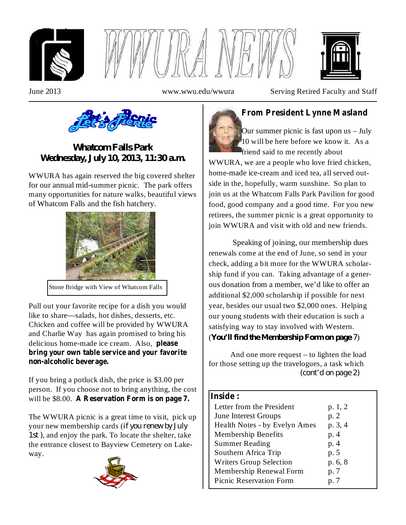





June 2013 www.wwu.edu/wwura Serving Retired Faculty and Staff



## *Whatcom Falls Park Wednesday, July 10, 2013, 11:30 a.m.*

WWURA has again reserved the big covered shelter for our annual mid-summer picnic. The park offers many opportunities for nature walks, beautiful views of Whatcom Falls and the fish hatchery.



Stone Bridge with View of Whatcom Falls

Pull out your favorite recipe for a dish you would like to share—salads, hot dishes, desserts, etc. Chicken and coffee will be provided by WWURA and Charlie Way has again promised to bring his delicious home-made ice cream. Also, **please bring your own table service and your favorite non-alcoholic beverage.**

If you bring a potluck dish, the price is \$3.00 per person. If you choose not to bring anything, the cost will be \$8.00. **A Reservation Form is on page 7.**

The WWURA picnic is a great time to visit, pick up your new membership cards ( *if you renew by July* , and enjoy the park. To locate the shelter, take *1st )* the entrance closest to Bayview Cemetery on Lakeway.



## **From President Lynne Masland**

Our summer picnic is fast upon us – July 10 will be here before we know it. As a friend said to me recently about WWURA, we are a people who love fried chicken, home-made ice-cream and iced tea, all served outside in the, hopefully, warm sunshine. So plan to join us at the Whatcom Falls Park Pavilion for good food, good company and a good time. For you new retirees, the summer picnic is a great opportunity to join WWURA and visit with old and new friends.

Speaking of joining, our membership dues renewals come at the end of June, so send in your check, adding a bit more for the WWURA scholarship fund if you can. Taking advantage of a generous donation from a member, we'd like to offer an additional \$2,000 scholarship if possible for next year, besides our usual two \$2,000 ones. Helping our young students with their education is such a satisfying way to stay involved with Western. ( ) *You'll find the Membership Form on page 7*

And one more request – to lighten the load for those setting up the travelogues, a task which *(cont'd on page 2)*

### **Inside :**

| Letter from the President<br><b>June Interest Groups</b> | p. 1, 2<br>p. 2 |
|----------------------------------------------------------|-----------------|
| Health Notes - by Evelyn Ames                            | p. 3, 4         |
| Membership Benefits                                      | p. 4            |
| <b>Summer Reading</b>                                    | p. 4            |
| Southern Africa Trip                                     | p. 5            |
| <b>Writers Group Selection</b>                           | p. 6, 8         |
| Membership Renewal Form                                  | p. 7            |
| <b>Picnic Reservation Form</b>                           | p. 7            |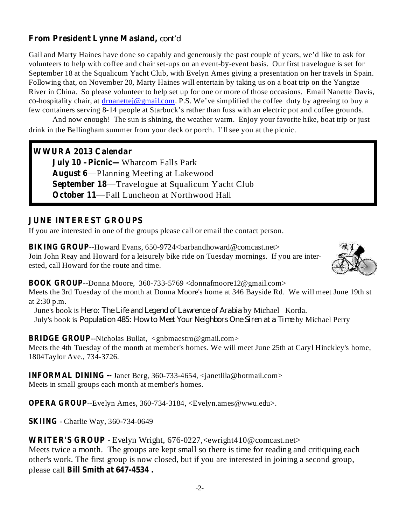### **From President Lynne Masland,** *cont'd*

Gail and Marty Haines have done so capably and generously the past couple of years, we'd like to ask for volunteers to help with coffee and chair set-ups on an event-by-event basis. Our first travelogue is set for September 18 at the Squalicum Yacht Club, with Evelyn Ames giving a presentation on her travels in Spain. Following that, on November 20, Marty Haines will entertain by taking us on a boat trip on the Yangtze River in China. So please volunteer to help set up for one or more of those occasions. Email Nanette Davis, co-hospitality chair, at  $d$ rnanettej@gmail.com. P.S. We've simplified the coffee duty by agreeing to buy a few containers serving 8-14 people at Starbuck's rather than fuss with an electric pot and coffee grounds.

And now enough! The sun is shining, the weather warm. Enjoy your favorite hike, boat trip or just drink in the Bellingham summer from your deck or porch. I'll see you at the picnic.

### **WWURA 2013 Calendar**

**July 10 –Picnic—** Whatcom Falls Park **August 6** —Planning Meeting at Lakewood **September 18** —Travelogue at Squalicum Yacht Club **October 11** —Fall Luncheon at Northwood Hall

### **JUNE INTEREST GROUPS**

If you are interested in one of the groups please call or email the contact person.

BIKING GROUP--Howard Evans, 650-9724<br/>barbandhoward@comcast.net> Join John Reay and Howard for a leisurely bike ride on Tuesday mornings. If you are interested, call Howard for the route and time.



### **BOOK GROUP** --Donna Moore, 360-733-5769 <donnafmoore12@gmail.com>

Meets the 3rd Tuesday of the month at Donna Moore's home at 346 Bayside Rd. We will meet June 19th st at 2:30 p.m.

June's book is *Hero: The Life and Legend of Lawrence of Arabia* by Michael Korda. *Puly's book is Population 485: How to Meet Your Neighbors One Siren at a Time by Michael Perry* 

### **BRIDGE GROUP** --Nicholas Bullat, <gnbmaestro@gmail.com>

Meets the 4th Tuesday of the month at member's homes. We will meet June 25th at Caryl Hinckley's home, 1804Taylor Ave., 734-3726.

**INFORMAL DINING --** Janet Berg, 360-733-4654, <janetlila@hotmail.com> Meets in small groups each month at member's homes.

**OPERA GROUP**--Evelyn Ames, 360-734-3184, <Evelyn.ames@wwu.edu>.

**SKIING** - Charlie Way, 360-734-0649

**WRITER'S GROUP** - Evelyn Wright, 676-0227,<ewright410@comcast.net> **Bill Smith at 647-4534 .** please call Meets twice a month. The groups are kept small so there is time for reading and critiquing each other's work. The first group is now closed, but if you are interested in joining a second group,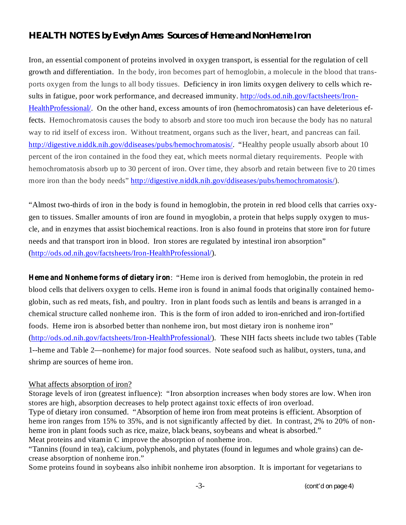### *HEALTH NOTES by Evelyn Ames Sources of Heme and NonHeme Iron*

Iron, an essential component of proteins involved in oxygen transport, is essential for the regulation of cell growth and differentiation. In the body, iron becomes part of hemoglobin, a molecule in the blood that transports oxygen from the lungs to all body tissues. Deficiency in iron limits oxygen delivery to cells which results in fatigue, poor work performance, and decreased immunity. http://ods.od.nih.gov/factsheets/Iron-HealthProfessional/. On the other hand, excess amounts of iron (hemochromatosis) can have deleterious effects. Hemochromatosis causes the body to absorb and store too much iron because the body has no natural way to rid itself of excess iron. Without treatment, organs such as the liver, heart, and pancreas can fail. http://digestive.niddk.nih.gov/ddiseases/pubs/hemochromatosis/. "Healthy people usually absorb about 10 percent of the iron contained in the food they eat, which meets normal dietary requirements. People with hemochromatosis absorb up to 30 percent of iron. Over time, they absorb and retain between five to 20 times more iron than the body needs" http://digestive.niddk.nih.gov/ddiseases/pubs/hemochromatosis/).

"Almost two-thirds of iron in the body is found in hemoglobin, the protein in red blood cells that carries oxygen to tissues. Smaller amounts of iron are found in myoglobin, a protein that helps supply oxygen to muscle, and in enzymes that assist biochemical reactions. Iron is also found in proteins that store iron for future needs and that transport iron in blood. Iron stores are regulated by intestinal iron absorption" (http://ods.od.nih.gov/factsheets/Iron-HealthProfessional/).

Heme and Nonheme forms of dietary iron: "Heme iron is derived from hemoglobin, the protein in red blood cells that delivers oxygen to cells. Heme iron is found in animal foods that originally contained hemoglobin, such as red meats, fish, and poultry. Iron in plant foods such as lentils and beans is arranged in a chemical structure called nonheme iron. This is the form of iron added to iron-enriched and iron-fortified foods. Heme iron is absorbed better than nonheme iron, but most dietary iron is nonheme iron" (http://ods.od.nih.gov/factsheets/Iron-HealthProfessional/). These NIH facts sheets include two tables (Table 1--heme and Table 2—nonheme) for major food sources. Note seafood such as halibut, oysters, tuna, and shrimp are sources of heme iron.

### What affects absorption of iron?

Storage levels of iron (greatest influence): "Iron absorption increases when body stores are low. When iron stores are high, absorption decreases to help protect against toxic effects of iron overload. Type of dietary iron consumed. "Absorption of heme iron from meat proteins is efficient. Absorption of heme iron ranges from 15% to 35%, and is not significantly affected by diet. In contrast, 2% to 20% of nonheme iron in plant foods such as rice, maize, black beans, soybeans and wheat is absorbed." Meat proteins and vitamin C improve the absorption of nonheme iron.

"Tannins (found in tea), calcium, polyphenols, and phytates (found in legumes and whole grains) can decrease absorption of nonheme iron."

Some proteins found in soybeans also inhibit nonheme iron absorption. It is important for vegetarians to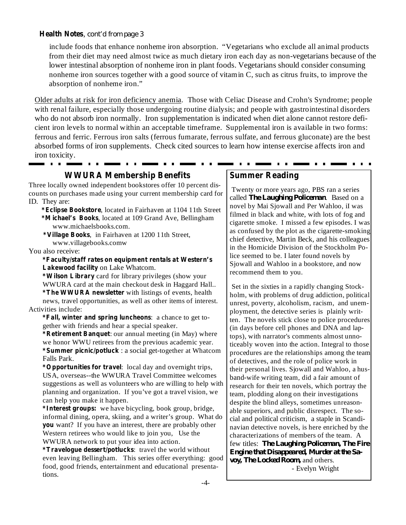### **Health Notes** , *cont'd from page 3*

include foods that enhance nonheme iron absorption. "Vegetarians who exclude all animal products from their diet may need almost twice as much dietary iron each day as non-vegetarians because of the lower intestinal absorption of nonheme iron in plant foods. Vegetarians should consider consuming nonheme iron sources together with a good source of vitamin C, such as citrus fruits, to improve the absorption of nonheme iron."

Older adults at risk for iron deficiency anemia. Those with Celiac Disease and Crohn's Syndrome; people with renal failure, especially those undergoing routine dialysis; and people with gastrointestinal disorders who do not absorb iron normally. Iron supplementation is indicated when diet alone cannot restore deficient iron levels to normal within an acceptable timeframe. Supplemental iron is available in two forms: ferrous and ferric. Ferrous iron salts (ferrous fumarate, ferrous sulfate, and ferrous gluconate) are the best absorbed forms of iron supplements. Check cited sources to learn how intense exercise affects iron and iron toxicity. . . . . . . . . **Contract Contract** - - - -

**WWURA Membership Benefits**

Three locally owned independent bookstores offer 10 percent discounts on purchases made using your current membership card for ID. They are:

**\*Eclipse Bookstore** , located in Fairhaven at 1104 11th Street **\*Michael's Books** , located at 109 Grand Ave, Bellingham www.michaelsbooks.com.

**\*Village Books** , in Fairhaven at 1200 11th Street, www.villagebooks.comw

You also receive:

**\*Faculty/staff rates on equipment rentals at Western's Lakewood facility** on Lake Whatcom.

**\*Wilson Library** card for library privileges (show your **\*The WWURA newsletter** with listings of events, health WWURA card at the main checkout desk in Haggard Hall.. news, travel opportunities, as well as other items of interest. Activities include:

**\*Fall, winter and spring luncheons** : a chance to get together with friends and hear a special speaker.

**\*Retirement Banquet** : our annual meeting (in May) where **\*Summer picnic/potluck** : a social get-together at Whatcom we honor WWU retirees from the previous academic year. Falls Park.

**\*Opportunities for travel** : local day and overnight trips, USA, overseas--the WWURA Travel Committee welcomes suggestions as well as volunteers who are willing to help with planning and organization. If you've got a travel vision, we can help you make it happen.

**\*Interest groups:** we have bicycling, book group, bridge, **you** want? If you have an interest, there are probably other informal dining, opera, skiing, and a writer's group. What do Western retirees who would like to join you, Use the WWURA network to put your idea into action.

**\*Travelogue dessert/potlucks** : travel the world without even leaving Bellingham. This series offer everything: good food, good friends, entertainment and educational presentations.

#### **Summer Reading**

Twenty or more years ago, PBS ran a series called *The Laughing Policeman*. Based on a novel by Mai Sjowall and Per Wahloo, iI was filmed in black and white, with lots of fog and cigarette smoke. I missed a few episodes. I was as confused by the plot as the cigarette-smoking chief detective, Martin Beck, and his colleagues in the Homicide Division of the Stockholm Police seemed to be. I later found novels by Sjowall and Wahloo in a bookstore, and now recommend them to you.

Set in the sixties in a rapidly changing Stockholm, with problems of drug addiction, political unrest, poverty, alcoholism, racism, and unemployment, the detective series is plainly written. The novels stick close to police procedures (in days before cell phones and DNA and laptops), with narrator's comments almost unnoticeably woven into the action. Integral to those procedures are the relationships among the team of detectives, and the role of police work in their personal lives. Sjowall and Wahloo, a husband-wife writing team, did a fair amount of research for their ten novels, which portray the team, plodding along on their investigations despite the blind alleys, sometimes unreasonable superiors, and public disrespect. The social and political criticism, a staple in Scandinavian detective novels, is here enriched by the characterizations of members of the team. A few titles: *The Laughing Policeman, The Fire voy, The Locked Room,* and others. *Engine that Disappeared, Murder at the Sa-*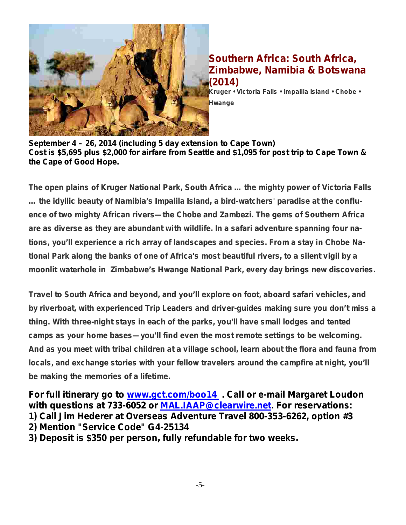

## **Southern Africa: South Africa, Zimbabwe, Namibia & Botswana (2014)**

**Kruger • Victoria Falls • Impalila Island • Chobe • Hwange**

**September 4 – 26, 2014 (including 5 day extension to Cape Town) Cost is \$5,695 plus \$2,000 for airfare from Seattle and \$1,095 for post trip to Cape Town & the Cape of Good Hope.**

**The open plains of Kruger National Park, South Africa … the mighty power of Victoria Falls … the idyllic beauty of Namibia's Impalila Island, a bird-watchers' paradise at the confluence of two mighty African rivers—the Chobe and Zambezi. The gems of Southern Africa are as diverse as they are abundant with wildlife. In a safari adventure spanning four nations, you'll experience a rich array of landscapes and species. From a stay in Chobe National Park along the banks of one of Africa's most beautiful rivers, to a silent vigil by a moonlit waterhole in Zimbabwe's Hwange National Park, every day brings new discoveries.**

**Travel to South Africa and beyond, and you'll explore on foot, aboard safari vehicles, and by riverboat, with experienced Trip Leaders and driver-guides making sure you don't miss a thing. With three-night stays in each of the parks, you'll have small lodges and tented camps as your home bases—you'll find even the most remote settings to be welcoming. And as you meet with tribal children at a village school, learn about the flora and fauna from locals, and exchange stories with your fellow travelers around the campfire at night, you'll be making the memories of a lifetime.**

For full itinerary go to *www.gct.com/boo14*. Call or e-mail Margaret Loudon **with questions at 733-6052 or MAL.IAAP@clearwire.net. For reservations: 1) Call Jim Hederer at Overseas Adventure Travel 800-353-6262, option #3 2) Mention "Service Code" G4-25134**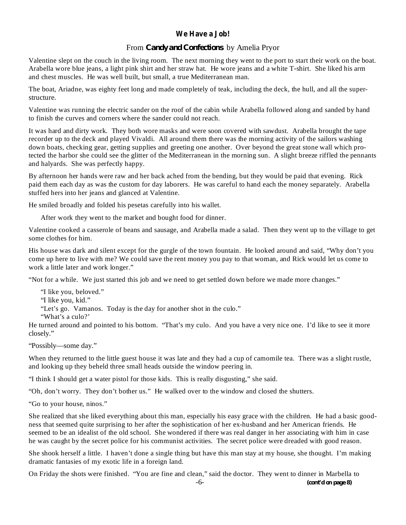### **We Have a Job!**

### From *Candy and Confections* by Amelia Pryor

Valentine slept on the couch in the living room. The next morning they went to the port to start their work on the boat. Arabella wore blue jeans, a light pink shirt and her straw hat. He wore jeans and a white T-shirt. She liked his arm and chest muscles. He was well built, but small, a true Mediterranean man.

The boat, Ariadne, was eighty feet long and made completely of teak, including the deck, the hull, and all the superstructure.

Valentine was running the electric sander on the roof of the cabin while Arabella followed along and sanded by hand to finish the curves and corners where the sander could not reach.

It was hard and dirty work. They both wore masks and were soon covered with sawdust. Arabella brought the tape recorder up to the deck and played Vivaldi. All around them there was the morning activity of the sailors washing down boats, checking gear, getting supplies and greeting one another. Over beyond the great stone wall which protected the harbor she could see the glitter of the Mediterranean in the morning sun. A slight breeze riffled the pennants and halyards. She was perfectly happy.

By afternoon her hands were raw and her back ached from the bending, but they would be paid that evening. Rick paid them each day as was the custom for day laborers. He was careful to hand each the money separately. Arabella stuffed hers into her jeans and glanced at Valentine.

He smiled broadly and folded his pesetas carefully into his wallet.

After work they went to the market and bought food for dinner.

Valentine cooked a casserole of beans and sausage, and Arabella made a salad. Then they went up to the village to get some clothes for him.

His house was dark and silent except for the gurgle of the town fountain. He looked around and said, "Why don't you come up here to live with me? We could save the rent money you pay to that woman, and Rick would let us come to work a little later and work longer."

"Not for a while. We just started this job and we need to get settled down before we made more changes."

"I like you, beloved." "I like you, kid."

"Let's go. Vamanos. Today is the day for another shot in the culo."

"What's a culo?'

He turned around and pointed to his bottom. "That's my culo. And you have a very nice one. I'd like to see it more closely."

"Possibly—some day."

When they returned to the little guest house it was late and they had a cup of camomile tea. There was a slight rustle, and looking up they beheld three small heads outside the window peering in.

"I think I should get a water pistol for those kids. This is really disgusting," she said.

"Oh, don't worry. They don't bother us." He walked over to the window and closed the shutters.

"Go to your house, ninos."

She realized that she liked everything about this man, especially his easy grace with the children. He had a basic goodness that seemed quite surprising to her after the sophistication of her ex-husband and her American friends. He seemed to be an idealist of the old school. She wondered if there was real danger in her associating with him in case he was caught by the secret police for his communist activities. The secret police were dreaded with good reason.

She shook herself a little. I haven't done a single thing but have this man stay at my house, she thought. I'm making dramatic fantasies of my exotic life in a foreign land.

On Friday the shots were finished. "You are fine and clean," said the doctor. They went to dinner in Marbella to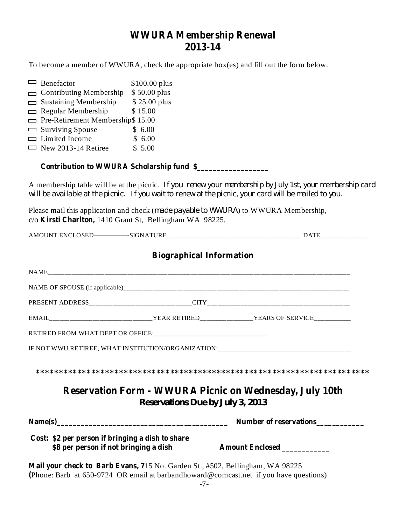# **WWURA Membership Renewal 2013-14**

To become a member of WWURA, check the appropriate box(es) and fill out the form below.

| $\Box$ Benefactor                                                                                                                               | $$100.00$ plus                          |                                 |                                                                                                          |
|-------------------------------------------------------------------------------------------------------------------------------------------------|-----------------------------------------|---------------------------------|----------------------------------------------------------------------------------------------------------|
| <b>Contributing Membership</b><br>$\Box$                                                                                                        | \$50.00 plus                            |                                 |                                                                                                          |
| $\Box$ Sustaining Membership<br>$\Box$ Regular Membership                                                                                       | \$25.00 plus<br>\$15.00                 |                                 |                                                                                                          |
| $\Box$ Pre-Retirement Membership\$ 15.00                                                                                                        |                                         |                                 |                                                                                                          |
| $\Box$ Surviving Spouse                                                                                                                         | \$6.00                                  |                                 |                                                                                                          |
| $\Box$ Limited Income                                                                                                                           | \$6.00                                  |                                 |                                                                                                          |
| $\Box$ New 2013-14 Retiree                                                                                                                      | \$5.00                                  |                                 |                                                                                                          |
| Contribution to WWURA Scholarship fund \$                                                                                                       |                                         |                                 |                                                                                                          |
| will be available at the picnic. If you wait to renew at the picnic, your card will be mailed to you.                                           |                                         |                                 | A membership table will be at the picnic. If you renew your membership by July 1st, your membership card |
| Please mail this application and check (made payable to WWURA) to WWURA Membership,<br>c/o Kirsti Charlton, 1410 Grant St, Bellingham WA 98225. |                                         |                                 |                                                                                                          |
|                                                                                                                                                 |                                         |                                 |                                                                                                          |
|                                                                                                                                                 |                                         | <b>Biographical Information</b> |                                                                                                          |
|                                                                                                                                                 |                                         |                                 |                                                                                                          |
|                                                                                                                                                 |                                         |                                 |                                                                                                          |
|                                                                                                                                                 |                                         |                                 |                                                                                                          |
|                                                                                                                                                 |                                         |                                 |                                                                                                          |
|                                                                                                                                                 |                                         |                                 |                                                                                                          |
|                                                                                                                                                 |                                         |                                 | IF NOT WWU RETIREE, WHAT INSTITUTION/ORGANIZATION:______________________________                         |
|                                                                                                                                                 |                                         |                                 |                                                                                                          |
|                                                                                                                                                 | <b>Reservations Due by July 3, 2013</b> |                                 | <b>Reservation Form - WWURA Picnic on Wednesday, July 10th</b>                                           |
|                                                                                                                                                 |                                         |                                 |                                                                                                          |
|                                                                                                                                                 |                                         |                                 | Number of reservations                                                                                   |
| Cost: \$2 per person if bringing a dish to share<br>\$8 per person if not bringing a dish                                                       |                                         |                                 | Amount Enclosed                                                                                          |

**Mail your check to Barb Evans, 7** 15 No. Garden St., #502, Bellingham, WA 98225 **(** Phone: Barb at 650-9724 OR email at barbandhoward@comcast.net if you have questions)